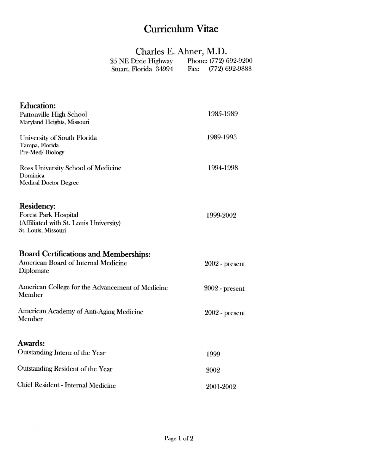## Curriculum Vitae

## Charles E. Ahner, M.D.

| 25 NE Dixie Highway   | Phone: (772) 692-9200    |
|-----------------------|--------------------------|
| Stuart, Florida 34994 | $(772)$ 692-9888<br>Fax: |

| <b>Education:</b><br><b>Pattonville High School</b><br>Maryland Heights, Missouri                          | 1985-1989        |
|------------------------------------------------------------------------------------------------------------|------------------|
| University of South Florida<br>Tampa, Florida<br>Pre-Med/Biology                                           | 1989-1993        |
| Ross University School of Medicine<br>Dominica<br><b>Medical Doctor Degree</b>                             | 1994-1998        |
| Residency:<br><b>Forest Park Hospital</b><br>(Affiliated with St. Louis University)<br>St. Louis, Missouri | 1999-2002        |
| <b>Board Certifications and Memberships:</b><br>American Board of Internal Medicine<br>Diplomate           | $2002$ - present |
| American College for the Advancement of Medicine<br>Member                                                 | $2002$ - present |
| American Academy of Anti-Aging Medicine<br>Member                                                          | $2002$ - present |
|                                                                                                            |                  |
| Awards:<br>Outstanding Intern of the Year                                                                  | 1999             |
| Outstanding Resident of the Year                                                                           | 2002             |
| <b>Chief Resident - Internal Medicine</b>                                                                  | 2001-2002        |